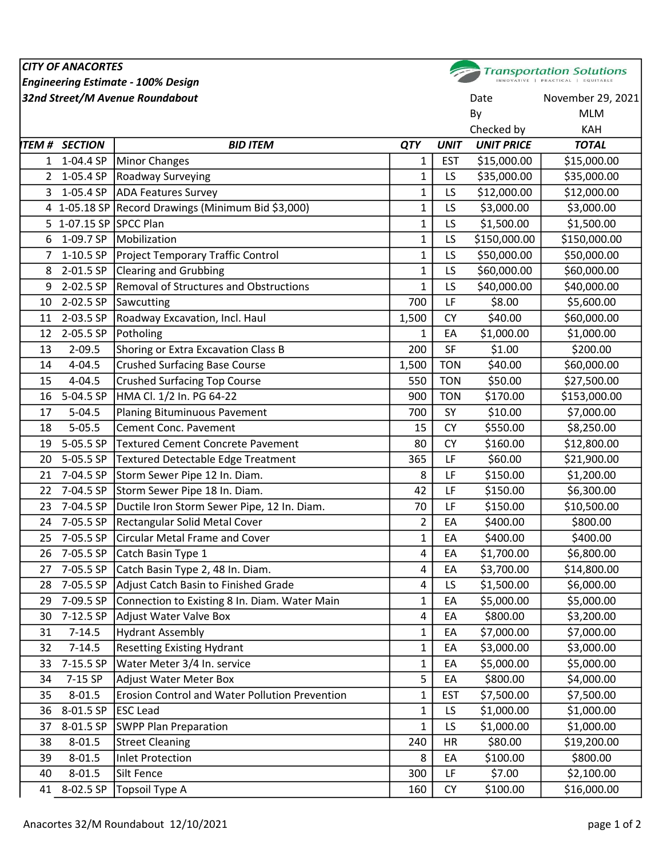## CITY OF ANACORTES **Transportation Solutions** Engineering Estimate - 100% Design **32nd Street/M Avenue Roundabout Community Community Community Community Community Community Community Community** By MLM Checked by KAH ITEM # SECTION BID ITEM QTY UNIT UNIT PRICE TOTAL 1 1-04.4 SP | Minor Changes 2 | 2000.00 | 21 | EST \$15,000.00 | \$15,000.00 2 1-05.4 SP Roadway Surveying 2 2 1-05.4 SP Roadway Surveying 2 2 1-05.4 SP Roadway Surveying 3 1-05.4 SP |ADA Features Survey 2000 1 | 1 | LS \$12,000.00 | \$12,000.00 4 1-05.18 SP Record Drawings (Minimum Bid \$3,000) 1 1 LS \$3,000.00 53,000.00 5 1-07.15 SP SPCC Plan 1 LS \$1,500.00 \$1,500.00 6 1-09.7 SP Mobilization 1 LS \$150,000.00 \$150,000.00 7 1-10.5 SP Project Temporary Traffic Control 1 1 LS \$50,000.00 \$50,000.00 8 2-01.5 SP Clearing and Grubbing 1 1 LS \$60,000.00 \$60,000.00 9 2-02.5 SP Removal of Structures and Obstructions 1 1 LS \$40,000.00 \$40,000.00 10 2-02.5 SP Sawcutting 200 CH is a series of the series of the series of the series of the series of the series of the series of the series of the series of the series of the series of the series of the series of the seri 11 2-03.5 SP Roadway Excavation, Incl. Haul 1,500 CY \$40.00 \$60,000.00 12 2-05.5 SP Potholing 1 EA \$1,000.00 \$1,000.00 \$1,000.00 \$1,000.00 \$1,000.00 \$1,000.00 \$1,000.00 \$1,000.00 \$1 13 2-09.5 Shoring or Extra Excavation Class B 200 | 200 | SF \$1.00 | \$200.00 14 4-04.5 Crushed Surfacing Base Course 1,500 TON \$40.00 \$60,000.00 15 4-04.5 Crushed Surfacing Top Course **550 TON \$50.00** S27,500.00 16 5-04.5 SP HMA Cl. 1/2 In. PG 64-22 900 TON \$170.00 \$153,000.00 17 5-04.5 Planing Bituminuous Pavement 700 SY \$10.00 \$7,000.00 18 5-05.5 Cement Conc. Pavement 15 CY \$550.00 | \$8,250.00 19 5-05.5 SP Textured Cement Concrete Pavement 19 80 CY \$160.00 \$12,800.00 20 5-05.5 SP Textured Detectable Edge Treatment 365 LF \$60.00 \$21,900.00 21 7-04.5 SP Storm Sewer Pipe 12 In. Diam. 8 LF \$150.00 \$1,200.00 22 7-04.5 SP Storm Sewer Pipe 18 In. Diam.  $\begin{array}{ccc} 42 & 42 & 150.00 & 56,300.00 \\ 42 & 1 & 50.00 & 56.300.00 \end{array}$ 23 7-04.5 SP Ductile Iron Storm Sewer Pipe, 12 In. Diam. 70 | LE \$150.00 | \$10,500.00 24 7-05.5 SP Rectangular Solid Metal Cover 2 EA \$400.00 \$800.00 25 7-05.5 SP Circular Metal Frame and Cover 1 1 EA \$400.00 \$400.00 26 7-05.5 SP Catch Basin Type 1 4 | EA \$1,700.00 | \$6,800.00 27 7-05.5 SP Catch Basin Type 2, 48 In. Diam. 4 | 4 | EA \$3,700.00 | \$14,800.00 28 7-05.5 SP | Adjust Catch Basin to Finished Grade 4 All LS \$1,500.00 | \$6,000.00 29 7-09.5 SP Connection to Existing 8 In. Diam. Water Main 1 EA \$5,000.00 \$5,000.00 30 7-12.5 SP Adjust Water Valve Box 4 EA \$800.00 \$3,200.00 31 7-14.5 Hydrant Assembly 1 and the state of the state of the state of the state of the state of the state of t 32 7-14.5 Resetting Existing Hydrant 1 and 1 EA \$3,000.00 | \$3,000.00 \$3,000.00 33 7-15.5 SP Water Meter 3/4 In. service 1 Apr 1 EA \$5,000.00 | \$5,000.00 | \$5,000.00 34 7-15 SP |Adjust Water Meter Box | 5 | EA \$800.00 | \$4,000.00 35 8-01.5 | Erosion Control and Water Pollution Prevention 1 | EST \$7,500.00 | \$7,500.00 36 8-01.5 SP ESC Lead 1 LS \$1,000.00 \$1,000.00 37 8-01.5 SP SWPP Plan Preparation 1 1 LS \$1,000.00 \$1,000.00 38 8-01.5 Street Cleaning 240 HR \$80.00 \$19,200.00 39 8-01.5 Inlet Protection 8 EA \$100.00 \$800.00 40 8-01.5 Silt Fence 300 LF \$7.00 \$2,100.00 41 8-02.5 SP |Topsoil Type A 160 | CY \$100.00 | \$16,000.00